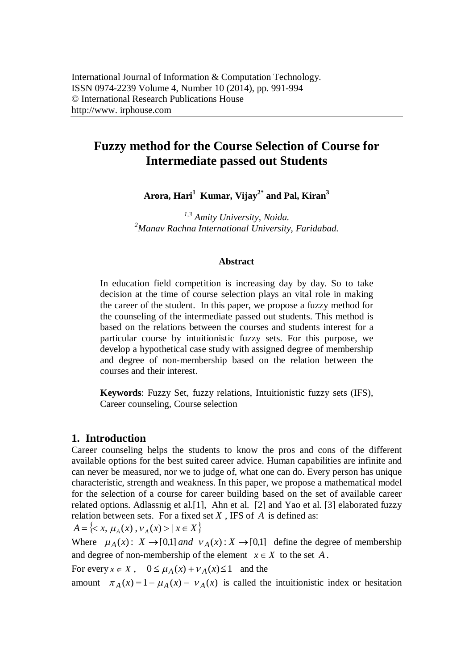# **Fuzzy method for the Course Selection of Course for Intermediate passed out Students**

**Arora, Hari<sup>1</sup>Kumar, Vijay2\* and Pal, Kiran<sup>3</sup>**

*1,3 Amity University, Noida. <sup>2</sup>Manav Rachna International University, Faridabad.*

#### **Abstract**

In education field competition is increasing day by day. So to take decision at the time of course selection plays an vital role in making the career of the student. In this paper, we propose a fuzzy method for the counseling of the intermediate passed out students. This method is based on the relations between the courses and students interest for a particular course by intuitionistic fuzzy sets. For this purpose, we develop a hypothetical case study with assigned degree of membership and degree of non-membership based on the relation between the courses and their interest.

**Keywords**: Fuzzy Set, fuzzy relations, Intuitionistic fuzzy sets (IFS), Career counseling, Course selection

## **1. Introduction**

Career counseling helps the students to know the pros and cons of the different available options for the best suited career advice. Human capabilities are infinite and can never be measured, nor we to judge of, what one can do. Every person has unique characteristic, strength and weakness. In this paper, we propose a mathematical model for the selection of a course for career building based on the set of available career related options. Adlassnig et al.[1], Ahn et al. [2] and Yao et al. [3] elaborated fuzzy relation between sets. For a fixed set *X* , IFS of *A* is defined as:

 $A = \{ \langle x, \mu_A(x), \nu_A(x) \rangle \mid x \in X \}$ 

Where  $\mu_A(x)$ :  $X \to [0,1]$  *and*  $v_A(x)$ :  $X \to [0,1]$  define the degree of membership and degree of non-membership of the element  $x \in X$  to the set *A*.

For every  $x \in X$ ,  $0 \le \mu_A(x) + \nu_A(x) \le 1$  and the

amount  $\pi_A(x) = 1 - \mu_A(x) - v_A(x)$  is called the intuitionistic index or hesitation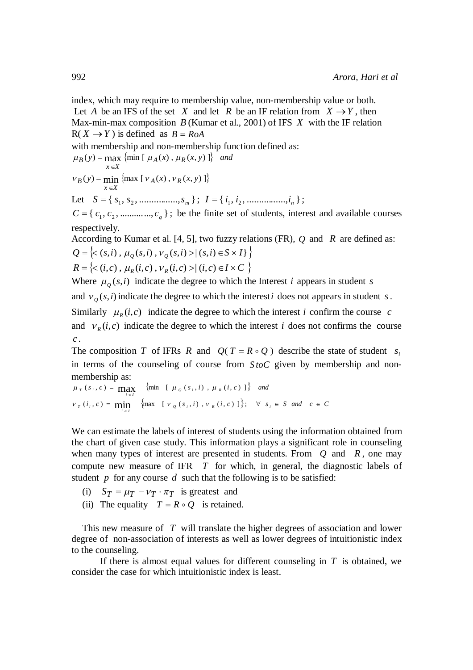index, which may require to membership value, non-membership value or both. Let *A* be an IFS of the set *X* and let *R* be an IF relation from  $X \rightarrow Y$ , then Max-min-max composition *B* (Kumar et al., 2001) of IFS *X* with the IF relation  $R(X \rightarrow Y)$  is defined as  $B = R_0A$ 

with membership and non-membership function defined as:

$$
\mu_B(y) = \max_{x \in X} \{ \min \left[ \mu_A(x), \mu_R(x, y) \right] \} \text{ and}
$$

$$
v_B(y) = \min_{x \in X} \{ \max[v_A(x), v_R(x, y)] \}
$$

Let  $S = \{ s_1, s_2, \dots, s_m \};$   $I = \{ i_1, i_2, \dots, s_m \};$ 

 $C = \{c_1, c_2, \dots, c_q\}$ ; be the finite set of students, interest and available courses respectively.

According to Kumar et al. [4, 5], two fuzzy relations (FR), *Q* and *R* are defined as:  $Q = \{<(s,i), \mu_Q(s,i), \nu_Q(s,i) > | (s,i) \in S \times I\}$ 

$$
R = \{<(i,c), \mu_R(i,c), \nu_R(i,c) > | (i,c) \in I \times C \}
$$

Where  $\mu_{\varrho}(s,i)$  indicate the degree to which the Interest *i* appears in student *s* 

and  $v_g(s, i)$  indicate the degree to which the interest *i* does not appears in student *s*.

Similarly  $\mu_R(i,c)$  indicate the degree to which the interest *i* confirm the course *c* and  $V_R(i, c)$  indicate the degree to which the interest *i* does not confirms the course *c* .

The composition *T* of IFRs *R* and  $Q(T = R \circ Q)$  describe the state of student *s*<sub>i</sub> in terms of the counseling of course from *S toC* given by membership and nonmembership as:

$$
\mu_{T}(s_{i}, c) = \max_{i \in I} \{ \min_{i \in I} \{ \mu_{\varrho}(s_{i}, i), \mu_{R}(i, c) \} \} \text{ and}
$$
\n
$$
v_{T}(i_{i}, c) = \min_{i \in I} \{ \max_{i \in I} \{ v_{\varrho}(s_{i}, i), v_{R}(i, c) \} \}; \quad \forall s_{i} \in S \text{ and } c \in C
$$

We can estimate the labels of interest of students using the information obtained from the chart of given case study. This information plays a significant role in counseling when many types of interest are presented in students. From *Q* and *R* , one may compute new measure of IFR *T* for which, in general, the diagnostic labels of student *p* for any course *d* such that the following is to be satisfied:

- (i)  $S_T = \mu_T v_T \cdot \pi_T$  is greatest and
- (ii) The equality  $T = R \circ Q$  is retained.

This new measure of *T* will translate the higher degrees of association and lower degree of non-association of interests as well as lower degrees of intuitionistic index to the counseling.

If there is almost equal values for different counseling in *T* is obtained, we consider the case for which intuitionistic index is least.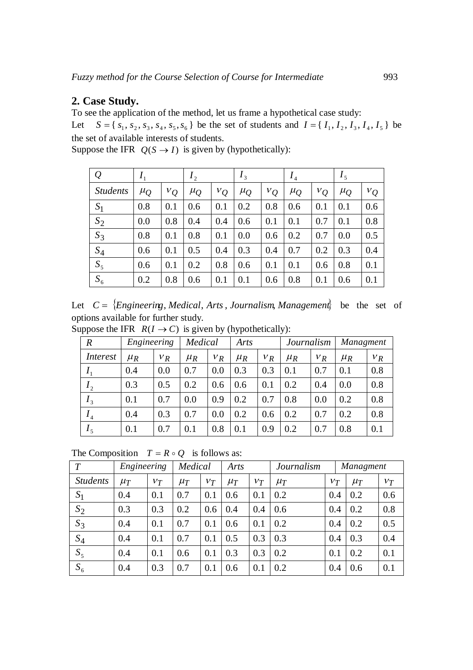# **2. Case Study.**

To see the application of the method, let us frame a hypothetical case study:

Let  $S = \{s_1, s_2, s_3, s_4, s_5, s_6\}$  be the set of students and  $I = \{I_1, I_2, I_3, I_4, I_5\}$  be the set of available interests of students.

| $\mathcal{Q}$   | $I_1$     |       | I <sub>2</sub> |       | $I_3$   |       | I <sub>4</sub> |       | I <sub>5</sub> |       |
|-----------------|-----------|-------|----------------|-------|---------|-------|----------------|-------|----------------|-------|
| <b>Students</b> | $\mu_{Q}$ | $v_Q$ | $\mu_{Q}$      | $v_Q$ | $\mu_Q$ | $v_Q$ | $\mu_Q$        | $v_Q$ | $\mu_{Q}$      | $v_Q$ |
| $S_1$           | 0.8       | 0.1   | 0.6            | 0.1   | 0.2     | 0.8   | 0.6            | 0.1   | 0.1            | 0.6   |
| $S_2$           | 0.0       | 0.8   | 0.4            | 0.4   | 0.6     | 0.1   | 0.1            | 0.7   | 0.1            | 0.8   |
| $S_3$           | 0.8       | 0.1   | 0.8            | 0.1   | 0.0     | 0.6   | 0.2            | 0.7   | 0.0            | 0.5   |
| $S_4$           | 0.6       | 0.1   | 0.5            | 0.4   | 0.3     | 0.4   | 0.7            | 0.2   | 0.3            | 0.4   |
| $S_5$           | 0.6       | 0.1   | 0.2            | 0.8   | 0.6     | 0.1   | 0.1            | 0.6   | 0.8            | 0.1   |
| $S_6$           | 0.2       | 0.8   | 0.6            | 0.1   | 0.1     | 0.6   | 0.8            | 0.1   | 0.6            | 0.1   |

Suppose the IFR  $Q(S \rightarrow I)$  is given by (hypothetically):

|  | Let $C = \{Engineering, Medical, Arts, Journalism, Management\}$ be the set of |  |  |
|--|--------------------------------------------------------------------------------|--|--|
|  | options available for further study.                                           |  |  |

Suppose the IFR  $R(I \rightarrow C)$  is given by (hypothetically):

| $\boldsymbol{R}$ | Engineering |       | Medical |       | Arts    |       | Journalism |       | Managment |       |
|------------------|-------------|-------|---------|-------|---------|-------|------------|-------|-----------|-------|
| <i>Interest</i>  | $\mu_R$     | $V_R$ | $\mu_R$ | $V_R$ | $\mu_R$ | $V_R$ | $\mu_R$    | $V_R$ | $\mu_R$   | $V_R$ |
| $I_{1}$          | 0.4         | 0.0   | 0.7     | 0.0   | 0.3     | 0.3   | 0.1        | 0.7   | 0.1       | 0.8   |
| I <sub>2</sub>   | 0.3         | 0.5   | 0.2     | 0.6   | 0.6     | 0.1   | 0.2        | 0.4   | 0.0       | 0.8   |
| $I_3$            | 0.1         | 0.7   | 0.0     | 0.9   | 0.2     | 0.7   | 0.8        | 0.0   | 0.2       | 0.8   |
| I <sub>4</sub>   | 0.4         | 0.3   | 0.7     | 0.0   | 0.2     | 0.6   | 0.2        | 0.7   | 0.2       | 0.8   |
| $I_5$            | 0.1         | 0.7   | 0.1     | 0.8   | 0.1     | 0.9   | 0.2        | 0.7   | 0.8       | 0.1   |

The Composition  $T = R \circ Q$  is follows as:

| T               | Engineering |       | Medical |       | Arts    |       | Journalism |       | Managment |       |
|-----------------|-------------|-------|---------|-------|---------|-------|------------|-------|-----------|-------|
| <b>Students</b> | $\mu_T$     | $V_T$ | $\mu_T$ | $V_T$ | $\mu_T$ | $v_T$ | $\mu_T$    | $V_T$ | $\mu_T$   | $V_T$ |
| $S_1$           | 0.4         | 0.1   | 0.7     | 0.1   | 0.6     | 0.1   | 0.2        | 0.4   | 0.2       | 0.6   |
| $S_2$           | 0.3         | 0.3   | 0.2     | 0.6   | 0.4     | 0.4   | 0.6        | 0.4   | 0.2       | 0.8   |
| $S_3$           | 0.4         | 0.1   | 0.7     | 0.1   | 0.6     | 0.1   | 0.2        | 0.4   | 0.2       | 0.5   |
| $S_4$           | 0.4         | 0.1   | 0.7     | 0.1   | 0.5     | 0.3   | 0.3        | 0.4   | 0.3       | 0.4   |
| $S_5$           | 0.4         | 0.1   | 0.6     | 0.1   | 0.3     | 0.3   | 0.2        | 0.1   | 0.2       | 0.1   |
| $S_6$           | 0.4         | 0.3   | 0.7     | 0.1   | 0.6     | 0.1   | 0.2        | 0.4   | 0.6       | 0.1   |